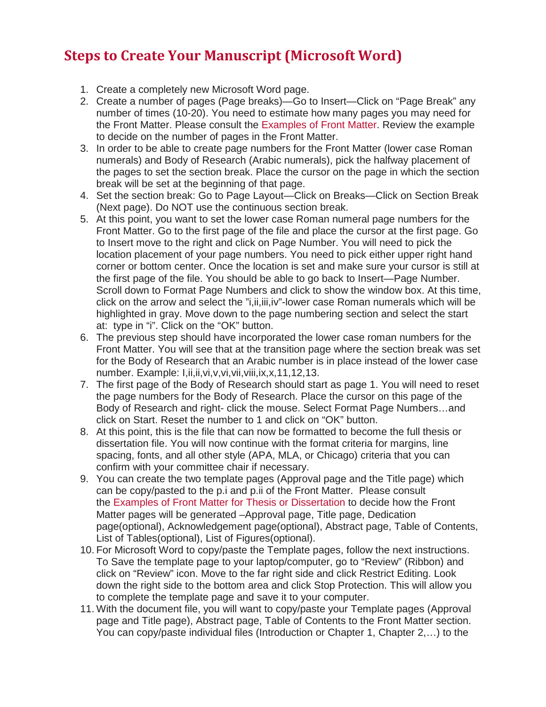## **Steps to Create Your Manuscript (Microsoft Word)**

- 1. Create a completely new Microsoft Word page.
- 2. Create a number of pages (Page breaks)—Go to Insert—Click on "Page Break" any number of times (10-20). You need to estimate how many pages you may need for the Front Matter. Please consult the [Examples of Front Matter.](http://grad.unm.edu/degree-completion/thesis-dissertations/manuscript-templates.html) Review the example to decide on the number of pages in the Front Matter.
- 3. In order to be able to create page numbers for the Front Matter (lower case Roman numerals) and Body of Research (Arabic numerals), pick the halfway placement of the pages to set the section break. Place the cursor on the page in which the section break will be set at the beginning of that page.
- 4. Set the section break: Go to Page Layout—Click on Breaks—Click on Section Break (Next page). Do NOT use the continuous section break.
- 5. At this point, you want to set the lower case Roman numeral page numbers for the Front Matter. Go to the first page of the file and place the cursor at the first page. Go to Insert move to the right and click on Page Number. You will need to pick the location placement of your page numbers. You need to pick either upper right hand corner or bottom center. Once the location is set and make sure your cursor is still at the first page of the file. You should be able to go back to Insert—Page Number. Scroll down to Format Page Numbers and click to show the window box. At this time, click on the arrow and select the "i,ii,iii,iv"-lower case Roman numerals which will be highlighted in gray. Move down to the page numbering section and select the start at: type in "i". Click on the "OK" button.
- 6. The previous step should have incorporated the lower case roman numbers for the Front Matter. You will see that at the transition page where the section break was set for the Body of Research that an Arabic number is in place instead of the lower case number. Example: I,ii,ii,vi,v,vi,vii,viii,ix,x,11,12,13.
- 7. The first page of the Body of Research should start as page 1. You will need to reset the page numbers for the Body of Research. Place the cursor on this page of the Body of Research and right- click the mouse. Select Format Page Numbers…and click on Start. Reset the number to 1 and click on "OK" button.
- 8. At this point, this is the file that can now be formatted to become the full thesis or dissertation file. You will now continue with the format criteria for margins, line spacing, fonts, and all other style (APA, MLA, or Chicago) criteria that you can confirm with your committee chair if necessary.
- 9. You can create the two template pages (Approval page and the Title page) which can be copy/pasted to the p.i and p.ii of the Front Matter. Please consult the [Examples of Front Matter for Thesis or Dissertation](http://grad.unm.edu/degree-completion/thesis-dissertations/manuscript-templates.html) to decide how the Front Matter pages will be generated –Approval page, Title page, Dedication page(optional), Acknowledgement page(optional), Abstract page, Table of Contents, List of Tables(optional), List of Figures(optional).
- 10. For Microsoft Word to copy/paste the Template pages, follow the next instructions. To Save the template page to your laptop/computer, go to "Review" (Ribbon) and click on "Review" icon. Move to the far right side and click Restrict Editing. Look down the right side to the bottom area and click Stop Protection. This will allow you to complete the template page and save it to your computer.
- 11. With the document file, you will want to copy/paste your Template pages (Approval page and Title page), Abstract page, Table of Contents to the Front Matter section. You can copy/paste individual files (Introduction or Chapter 1, Chapter 2,…) to the